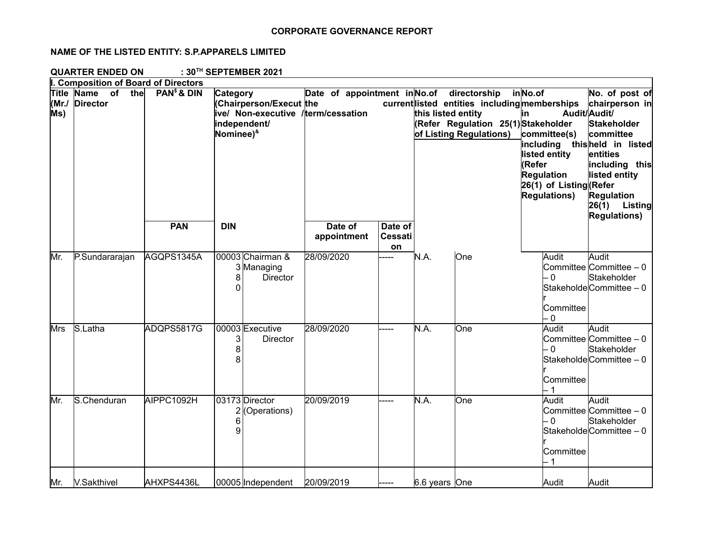## **CORPORATE GOVERNANCE REPORT**

## **NAME OF THE LISTED ENTITY: S.P.APPARELS LIMITED**

**QUARTER ENDED ON : 30TH SEPTEMBER 2021**

|              | I. Composition of Board of Directors              |                         |                                                                                                                       |                                           |                                        |                    |                                                                                                                 |                                                                                                                                                                 |                                                                                                                                                                                                           |
|--------------|---------------------------------------------------|-------------------------|-----------------------------------------------------------------------------------------------------------------------|-------------------------------------------|----------------------------------------|--------------------|-----------------------------------------------------------------------------------------------------------------|-----------------------------------------------------------------------------------------------------------------------------------------------------------------|-----------------------------------------------------------------------------------------------------------------------------------------------------------------------------------------------------------|
| (Mr./<br>Ms) | <b>Title Name</b><br>of<br>the<br><b>Director</b> | PAN <sup>\$</sup> & DIN | Category<br>Chairperson/Execut the<br>ive/ Non-executive /term/cessation<br>independent/<br>Nominee) <sup>&amp;</sup> | Date of appointment in No.of directorship |                                        | this listed entity | current listed entities including memberships<br>(Refer Regulation 25(1) Stakeholder<br>of Listing Regulations) | inNo.of<br>in<br>committee(s)<br>including thisheld in listed<br>listed entity<br>(Refer<br><b>Regulation</b><br>26(1) of Listing (Refer<br><b>Regulations)</b> | No. of post of<br>chairperson in<br>Audit/Audit/<br><b>Stakeholder</b><br>committee<br>entities<br>including this<br>listed entity<br><b>Regulation</b><br>26(1)<br><b>Listing</b><br><b>Regulations)</b> |
|              |                                                   | <b>PAN</b>              | <b>DIN</b>                                                                                                            | Date of<br>appointment                    | Date of<br><b>Cessati</b><br><b>on</b> |                    |                                                                                                                 |                                                                                                                                                                 |                                                                                                                                                                                                           |
| Mr.          | P.Sundararajan                                    | AGQPS1345A              | 00003 Chairman &<br>3 Managing<br>8<br><b>Director</b><br>0                                                           | 28/09/2020                                | ----                                   | N.A.               | One                                                                                                             | Audit<br>$-0$<br>Committee<br>- 0                                                                                                                               | Audit<br>Committee Committee $-0$<br>Stakeholder<br>Stakeholde Committee - 0                                                                                                                              |
| Mrs          | S.Latha                                           | ADQPS5817G              | 00003 Executive<br>3<br><b>Director</b><br>8<br>8                                                                     | 28/09/2020                                |                                        | N.A.               | <b>One</b>                                                                                                      | Audit<br>- 0<br>Committee                                                                                                                                       | Audit<br>Committee Committee $-0$<br>Stakeholder<br>StakeholdeCommittee - 0                                                                                                                               |
| Mr.          | S.Chenduran                                       | AIPPC1092H              | 03173 Director<br>2 (Operations)<br>6<br>9                                                                            | 20/09/2019                                |                                        | N.A.               | One                                                                                                             | Audit<br>- 0<br>Committee                                                                                                                                       | Audit<br>Committee Committee - 0<br>Stakeholder<br>Stakeholde Committee - 0                                                                                                                               |
| Mr.          | V.Sakthivel                                       | AHXPS4436L              | 00005 Independent                                                                                                     | 20/09/2019                                |                                        | 6.6 years One      |                                                                                                                 | Audit                                                                                                                                                           | Audit                                                                                                                                                                                                     |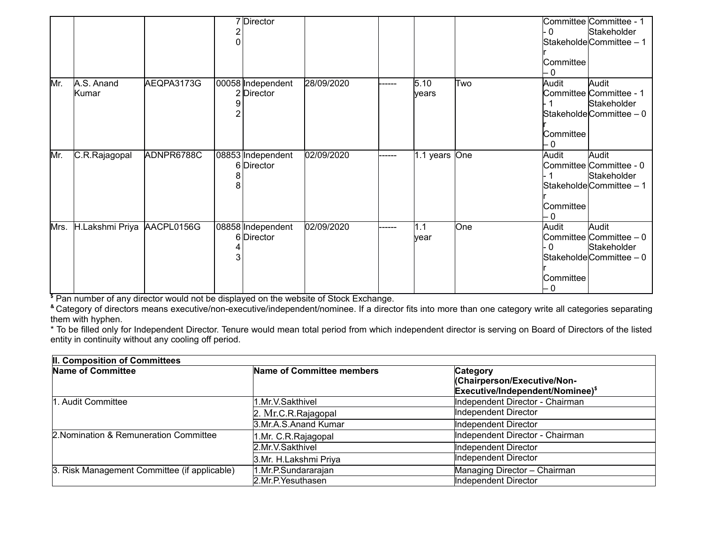|      |                            |            | 7 Director                      |            |        |                                   |     | - 0<br>Committee<br>- 0          | Committee Committee - 1<br>Stakeholder<br>StakeholdeCommittee - 1                      |
|------|----------------------------|------------|---------------------------------|------------|--------|-----------------------------------|-----|----------------------------------|----------------------------------------------------------------------------------------|
| Mr.  | A.S. Anand<br>Kumar        | AEQPA3173G | 00058 Independent<br>2 Director | 28/09/2020 | ------ | 5.10<br>lyears                    | Two | Audit<br>Committee<br>- 0        | Audit<br>Committee Committee - 1<br>Stakeholder<br>$\textsf{Statehole}$ Committee – 0  |
| Mr.  | C.R.Rajagopal              | ADNPR6788C | 08853 Independent<br>6 Director | 02/09/2020 | ------ | 1.1 years $\overline{\text{One}}$ |     | Audit<br>Committee<br>- 0        | Audit<br>Committee Committee - 0<br>Stakeholder<br>Stakeholde Committee - 1            |
| Mrs. | H.Lakshmi Priya AACPL0156G |            | 08858 Independent<br>6 Director | 02/09/2020 | ------ | 1.1<br>year                       | One | Audit<br>- 0<br>Committee<br>- 0 | Audit<br>Committee Committee $-0$<br>Stakeholder<br>$\textsf{Statehole}$ Committee – 0 |

**\$** Pan number of any director would not be displayed on the website of Stock Exchange.

**&** Category of directors means executive/non-executive/independent/nominee. If a director fits into more than one category write all categories separating them with hyphen.

\* To be filled only for Independent Director. Tenure would mean total period from which independent director is serving on Board of Directors of the listed entity in continuity without any cooling off period.

| II. Composition of Committees                |                           |                                  |
|----------------------------------------------|---------------------------|----------------------------------|
| <b>Name of Committee</b>                     | Name of Committee members | Category                         |
|                                              |                           | (Chairperson/Executive/Non-      |
|                                              |                           | Executive/Independent/Nominee)\$ |
| . Audit Committee                            | 1.Mr.V.Sakthivel          | Independent Director - Chairman  |
|                                              | 2. Mr.C.R.Rajagopal       | Independent Director             |
|                                              | 3.Mr.A.S.Anand Kumar      | Independent Director             |
| 2. Nomination & Remuneration Committee       | 1.Mr. C.R.Rajagopal       | Independent Director - Chairman  |
|                                              | 2.Mr.V.Sakthivel          | Independent Director             |
|                                              | 3.Mr. H.Lakshmi Priya     | Independent Director             |
| 3. Risk Management Committee (if applicable) | 1.Mr.P.Sundararajan       | Managing Director - Chairman     |
|                                              | 2.Mr.P.Yesuthasen         | Independent Director             |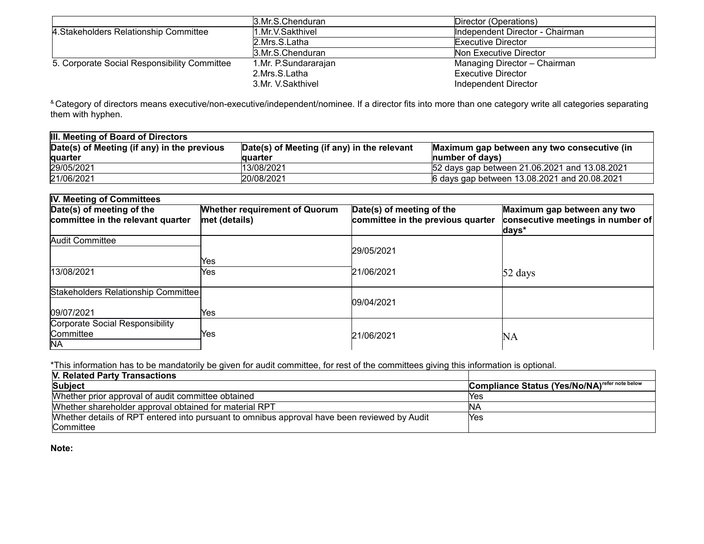|                                              | 3.Mr.S.Chenduran     | Director (Operations)           |
|----------------------------------------------|----------------------|---------------------------------|
| 4. Stakeholders Relationship Committee       | 1.Mr.V.Sakthivel     | Independent Director - Chairman |
|                                              | 2.Mrs.S.Latha        | <b>Executive Director</b>       |
|                                              | 3.Mr.S.Chenduran     | Non Executive Director          |
| 5. Corporate Social Responsibility Committee | 1.Mr. P.Sundararajan | Managing Director - Chairman    |
|                                              | 2.Mrs.S.Latha        | Executive Director              |
|                                              | 3.Mr. V.Sakthivel    | Independent Director            |

<sup>&</sup> Category of directors means executive/non-executive/independent/nominee. If a director fits into more than one category write all categories separating them with hyphen.

| III. Meeting of Board of Directors          |                                             |                                               |  |  |  |
|---------------------------------------------|---------------------------------------------|-----------------------------------------------|--|--|--|
| Date(s) of Meeting (if any) in the previous | Date(s) of Meeting (if any) in the relevant | Maximum gap between any two consecutive (in   |  |  |  |
| <b>lguarter</b>                             | lauarter                                    | Inumber of davs)                              |  |  |  |
| 29/05/2021                                  | 13/08/2021                                  | 52 days gap between 21.06.2021 and 13.08.2021 |  |  |  |
| 21/06/2021                                  | 20/08/2021                                  | 6 days gap between 13.08.2021 and 20.08.2021  |  |  |  |

| IV. Meeting of Committees           |                                      |                                   |                                            |
|-------------------------------------|--------------------------------------|-----------------------------------|--------------------------------------------|
| Date(s) of meeting of the           | <b>Whether requirement of Quorum</b> | Date(s) of meeting of the         | Maximum gap between any two                |
| committee in the relevant quarter   | met (details)                        | committee in the previous quarter | consecutive meetings in number of<br>days* |
| Audit Committee                     |                                      |                                   |                                            |
|                                     |                                      | 29/05/2021                        |                                            |
|                                     | Yes                                  |                                   |                                            |
| 13/08/2021                          | Yes.                                 | 21/06/2021                        | $52 \text{ days}$                          |
| Stakeholders Relationship Committee |                                      |                                   |                                            |
|                                     |                                      | 09/04/2021                        |                                            |
| 109/07/2021                         | Yes                                  |                                   |                                            |
| Corporate Social Responsibility     |                                      |                                   |                                            |
| <b>Committee</b>                    | Yes                                  | 21/06/2021                        | <b>NA</b>                                  |
| <b>NA</b>                           |                                      |                                   |                                            |

\*This information has to be mandatorily be given for audit committee, for rest of the committees giving this information is optional.

| V. Related Party Transactions                                                                |                                                           |
|----------------------------------------------------------------------------------------------|-----------------------------------------------------------|
| Subject                                                                                      | Compliance Status (Yes/No/NA) <sup>refer note below</sup> |
| Whether prior approval of audit committee obtained                                           | lYes                                                      |
| Whether shareholder approval obtained for material RPT                                       | INA                                                       |
| Whether details of RPT entered into pursuant to omnibus approval have been reviewed by Audit | lYes                                                      |
| <b>Committee</b>                                                                             |                                                           |

**Note:**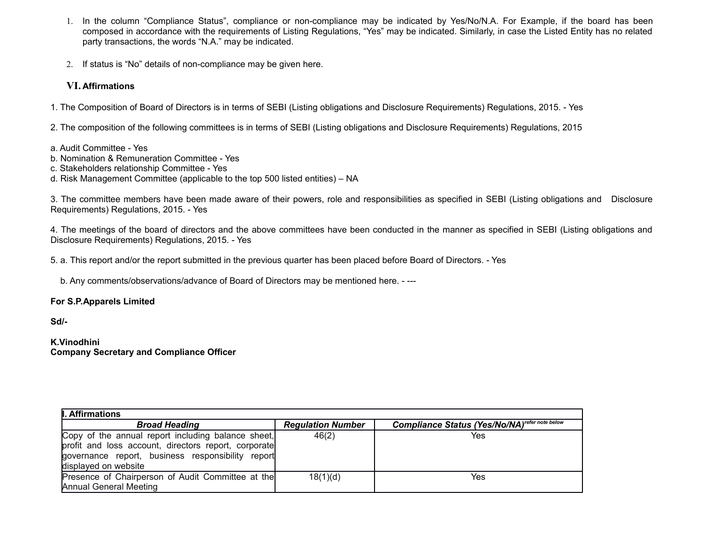- 1. In the column "Compliance Status", compliance or non-compliance may be indicated by Yes/No/N.A. For Example, if the board has been composed in accordance with the requirements of Listing Regulations, "Yes" may be indicated. Similarly, in case the Listed Entity has no related party transactions, the words "N.A." may be indicated.
- 2. If status is "No" details of non-compliance may be given here.

## **VI. Affirmations**

1. The Composition of Board of Directors is in terms of SEBI (Listing obligations and Disclosure Requirements) Regulations, 2015. - Yes

2. The composition of the following committees is in terms of SEBI (Listing obligations and Disclosure Requirements) Regulations, 2015

a. Audit Committee - Yes

- b. Nomination & Remuneration Committee Yes
- c. Stakeholders relationship Committee Yes
- d. Risk Management Committee (applicable to the top 500 listed entities) NA

3. The committee members have been made aware of their powers, role and responsibilities as specified in SEBI (Listing obligations and Disclosure Requirements) Regulations, 2015. - Yes

4. The meetings of the board of directors and the above committees have been conducted in the manner as specified in SEBI (Listing obligations and Disclosure Requirements) Regulations, 2015. - Yes

5. a. This report and/or the report submitted in the previous quarter has been placed before Board of Directors. - Yes

b. Any comments/observations/advance of Board of Directors may be mentioned here. - ---

## **For S.P.Apparels Limited**

**Sd/-**

**K.Vinodhini Company Secretary and Compliance Officer**

| <b>II. Affirmations</b>                              |                          |                                                       |  |  |  |  |
|------------------------------------------------------|--------------------------|-------------------------------------------------------|--|--|--|--|
| <b>Broad Heading</b>                                 | <b>Regulation Number</b> | <b>Compliance Status (Yes/No/NA)</b> refer note below |  |  |  |  |
| Copy of the annual report including balance sheet,   | 46(2)                    | Yes                                                   |  |  |  |  |
| profit and loss account, directors report, corporate |                          |                                                       |  |  |  |  |
| governance report, business responsibility report    |                          |                                                       |  |  |  |  |
| displayed on website                                 |                          |                                                       |  |  |  |  |
| Presence of Chairperson of Audit Committee at the    | 18(1)(d)                 | Yes                                                   |  |  |  |  |
| Annual General Meeting                               |                          |                                                       |  |  |  |  |